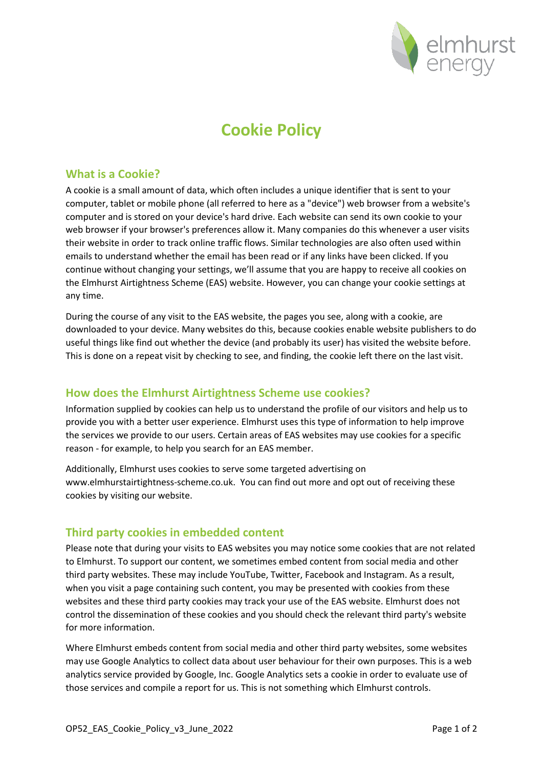

# **Cookie Policy**

#### **What is a Cookie?**

A cookie is a small amount of data, which often includes a unique identifier that is sent to your computer, tablet or mobile phone (all referred to here as a "device") web browser from a website's computer and is stored on your device's hard drive. Each website can send its own cookie to your web browser if your browser's preferences allow it. Many companies do this whenever a user visits their website in order to track online traffic flows. Similar technologies are also often used within emails to understand whether the email has been read or if any links have been clicked. If you continue without changing your settings, we'll assume that you are happy to receive all cookies on the Elmhurst Airtightness Scheme (EAS) website. However, you can change your cookie settings at any time.

During the course of any visit to the EAS website, the pages you see, along with a cookie, are downloaded to your device. Many websites do this, because cookies enable website publishers to do useful things like find out whether the device (and probably its user) has visited the website before. This is done on a repeat visit by checking to see, and finding, the cookie left there on the last visit.

## **How does the Elmhurst Airtightness Scheme use cookies?**

Information supplied by cookies can help us to understand the profile of our visitors and help us to provide you with a better user experience. Elmhurst uses this type of information to help improve the services we provide to our users. Certain areas of EAS websites may use cookies for a specific reason - for example, to help you search for an EAS member.

Additionally, Elmhurst uses cookies to serve some targeted advertising on www.elmhurstairtightness-scheme.co.uk. You can find out more and opt out of receiving these cookies by visiting our website.

## **Third party cookies in embedded content**

Please note that during your visits to EAS websites you may notice some cookies that are not related to Elmhurst. To support our content, we sometimes embed content from social media and other third party websites. These may include YouTube, Twitter, Facebook and Instagram. As a result, when you visit a page containing such content, you may be presented with cookies from these websites and these third party cookies may track your use of the EAS website. Elmhurst does not control the dissemination of these cookies and you should check the relevant third party's website for more information.

Where Elmhurst embeds content from social media and other third party websites, some websites may use Google Analytics to collect data about user behaviour for their own purposes. This is a web analytics service provided by Google, Inc. Google Analytics sets a cookie in order to evaluate use of those services and compile a report for us. This is not something which Elmhurst controls.